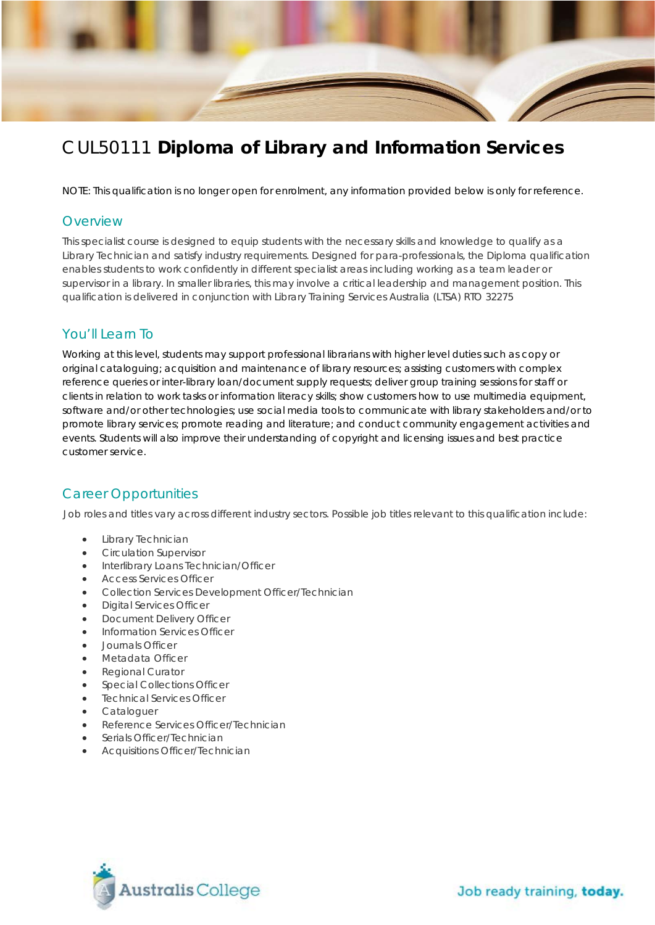

# CUL50111 **Diploma of Library and Information Services**

NOTE: This qualification is no longer open for enrolment, any information provided below is only for reference.

#### **Overview**

This specialist course is designed to equip students with the necessary skills and knowledge to qualify as a Library Technician and satisfy industry requirements. Designed for para-professionals, the Diploma qualification enables students to work confidently in different specialist areas including working as a team leader or supervisor in a library. In smaller libraries, this may involve a critical leadership and management position. This qualification is delivered in conjunction with Library Training Services Australia (LTSA) RTO 32275

#### You'll Learn To

Working at this level, students may support professional librarians with higher level duties such as copy or original cataloguing; acquisition and maintenance of library resources; assisting customers with complex reference queries or inter-library loan/document supply requests; deliver group training sessions for staff or clients in relation to work tasks or information literacy skills; show customers how to use multimedia equipment, software and/or other technologies; use social media tools to communicate with library stakeholders and/or to promote library services; promote reading and literature; and conduct community engagement activities and events. Students will also improve their understanding of copyright and licensing issues and best practice customer service.

#### Career Opportunities

Job roles and titles vary across different industry sectors. Possible job titles relevant to this qualification include:

- Library Technician
- Circulation Supervisor
- Interlibrary Loans Technician/Officer
- Access Services Officer
- Collection Services Development Officer/Technician
- Digital Services Officer
- Document Delivery Officer
- Information Services Officer
- Journals Officer
- Metadata Officer
- Regional Curator
- Special Collections Officer
- Technical Services Officer
- Cataloguer
- Reference Services Officer/Technician
- Serials Officer/Technician
- Acquisitions Officer/Technician

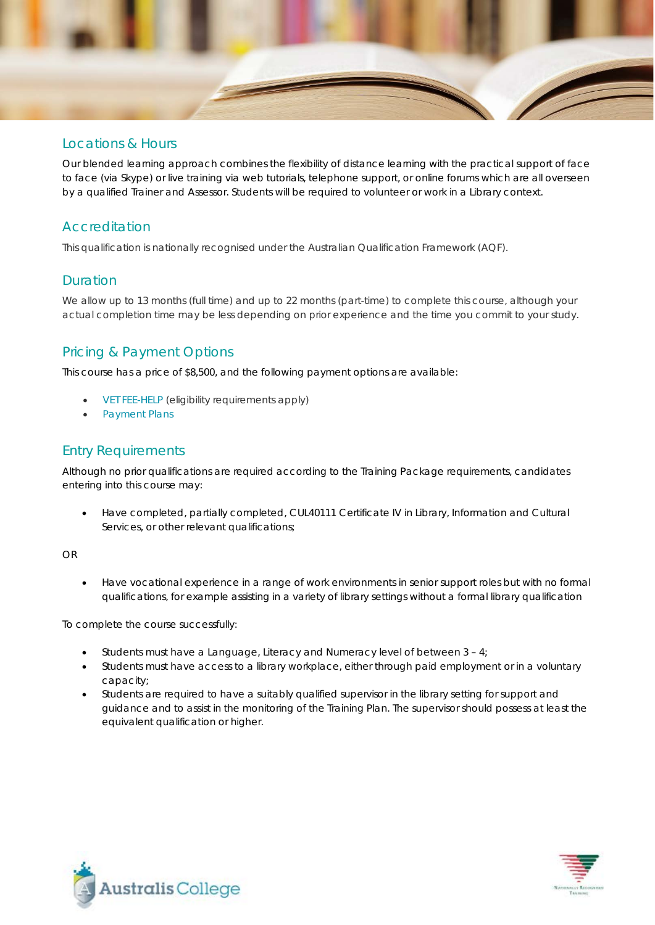

#### Locations & Hours

Our blended learning approach combines the flexibility of distance learning with the practical support of face to face (via Skype) or live training via web tutorials, telephone support, or online forums which are all overseen by a qualified Trainer and Assessor. Students will be required to volunteer or work in a Library context.

## Accreditation

This qualification is nationally recognised under the Australian Qualification Framework (AQF).

### **Duration**

We allow up to 13 months (full time) and up to 22 months (part-time) to complete this course, although your actual completion time may be less depending on prior experience and the time you commit to your study.

## Pricing & Payment Options

This course has a price of \$8,500, and the following payment options are available:

- [VET FEE-HELP](http://www.australiscollege.edu.au/vet-fee-help/) (eligibility requirements apply)
- [Payment Plans](http://www.australiscollege.edu.au/payment-plans/)

### Entry Requirements

Although no prior qualifications are required according to the Training Package requirements, candidates entering into this course may:

• Have completed, partially completed, CUL40111 Certificate IV in Library, Information and Cultural Services, or other relevant qualifications;

OR

• Have vocational experience in a range of work environments in senior support roles but with no formal qualifications, for example assisting in a variety of library settings without a formal library qualification

To complete the course successfully:

- Students must have a Language, Literacy and Numeracy level of between  $3 4$ ;
- Students must have access to a library workplace, either through paid employment or in a voluntary capacity;
- Students are required to have a suitably qualified supervisor in the library setting for support and guidance and to assist in the monitoring of the Training Plan. The supervisor should possess at least the equivalent qualification or higher.